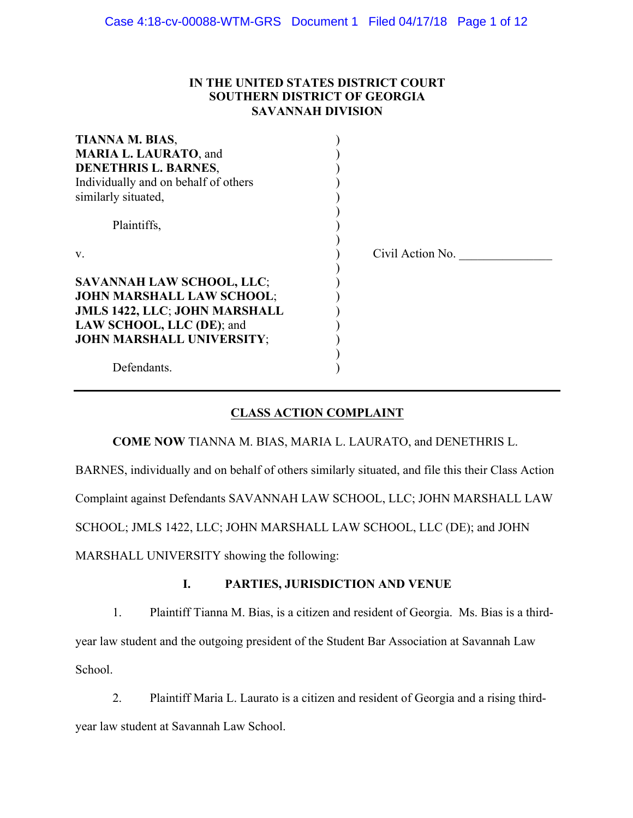## **IN THE UNITED STATES DISTRICT COURT SOUTHERN DISTRICT OF GEORGIA SAVANNAH DIVISION**

| TIANNA M. BIAS,                      |                  |
|--------------------------------------|------------------|
| <b>MARIA L. LAURATO, and</b>         |                  |
| <b>DENETHRIS L. BARNES,</b>          |                  |
| Individually and on behalf of others |                  |
| similarly situated,                  |                  |
|                                      |                  |
| Plaintiffs,                          |                  |
|                                      |                  |
| $V_{\cdot}$                          | Civil Action No. |
|                                      |                  |
| <b>SAVANNAH LAW SCHOOL, LLC;</b>     |                  |
| <b>JOHN MARSHALL LAW SCHOOL;</b>     |                  |
| <b>JMLS 1422, LLC; JOHN MARSHALL</b> |                  |
| LAW SCHOOL, LLC (DE); and            |                  |
| <b>JOHN MARSHALL UNIVERSITY;</b>     |                  |
|                                      |                  |
| Defendants.                          |                  |

# **CLASS ACTION COMPLAINT**

**COME NOW** TIANNA M. BIAS, MARIA L. LAURATO, and DENETHRIS L.

BARNES, individually and on behalf of others similarly situated, and file this their Class Action

Complaint against Defendants SAVANNAH LAW SCHOOL, LLC; JOHN MARSHALL LAW

SCHOOL; JMLS 1422, LLC; JOHN MARSHALL LAW SCHOOL, LLC (DE); and JOHN

MARSHALL UNIVERSITY showing the following:

# **I. PARTIES, JURISDICTION AND VENUE**

1. Plaintiff Tianna M. Bias, is a citizen and resident of Georgia. Ms. Bias is a thirdyear law student and the outgoing president of the Student Bar Association at Savannah Law School.

2. Plaintiff Maria L. Laurato is a citizen and resident of Georgia and a rising thirdyear law student at Savannah Law School.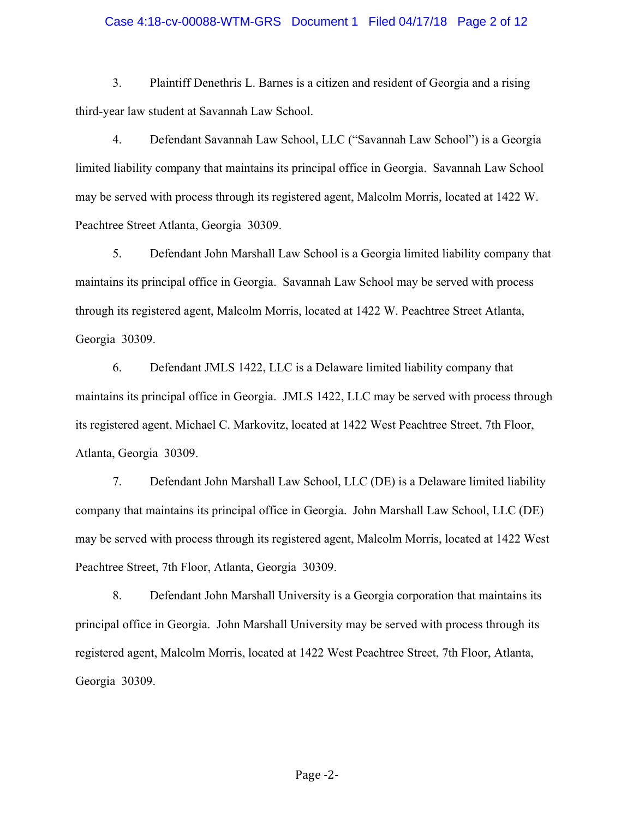#### Case 4:18-cv-00088-WTM-GRS Document 1 Filed 04/17/18 Page 2 of 12

3. Plaintiff Denethris L. Barnes is a citizen and resident of Georgia and a rising third-year law student at Savannah Law School.

4. Defendant Savannah Law School, LLC ("Savannah Law School") is a Georgia limited liability company that maintains its principal office in Georgia. Savannah Law School may be served with process through its registered agent, Malcolm Morris, located at 1422 W. Peachtree Street Atlanta, Georgia 30309.

5. Defendant John Marshall Law School is a Georgia limited liability company that maintains its principal office in Georgia. Savannah Law School may be served with process through its registered agent, Malcolm Morris, located at 1422 W. Peachtree Street Atlanta, Georgia 30309.

6. Defendant JMLS 1422, LLC is a Delaware limited liability company that maintains its principal office in Georgia. JMLS 1422, LLC may be served with process through its registered agent, Michael C. Markovitz, located at 1422 West Peachtree Street, 7th Floor, Atlanta, Georgia 30309.

7. Defendant John Marshall Law School, LLC (DE) is a Delaware limited liability company that maintains its principal office in Georgia. John Marshall Law School, LLC (DE) may be served with process through its registered agent, Malcolm Morris, located at 1422 West Peachtree Street, 7th Floor, Atlanta, Georgia 30309.

8. Defendant John Marshall University is a Georgia corporation that maintains its principal office in Georgia. John Marshall University may be served with process through its registered agent, Malcolm Morris, located at 1422 West Peachtree Street, 7th Floor, Atlanta, Georgia 30309.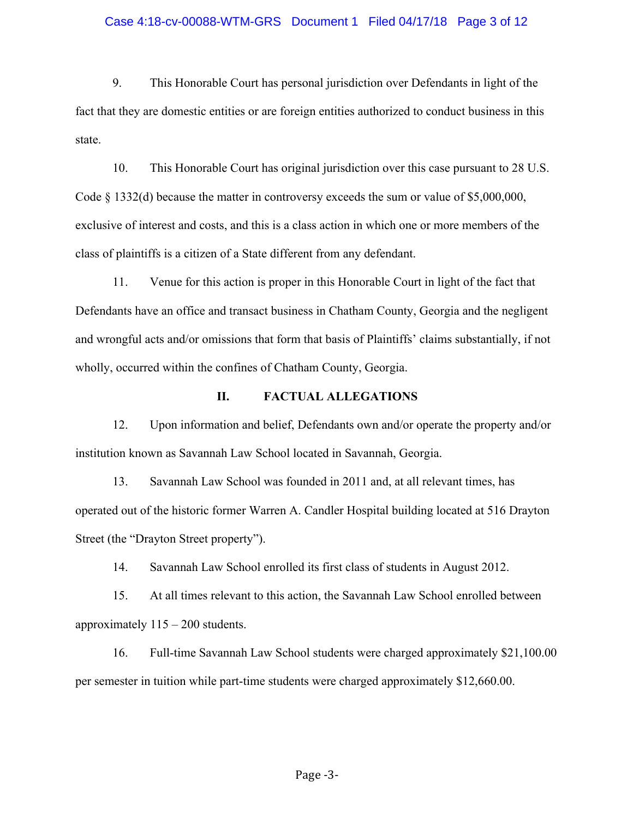#### Case 4:18-cv-00088-WTM-GRS Document 1 Filed 04/17/18 Page 3 of 12

9. This Honorable Court has personal jurisdiction over Defendants in light of the fact that they are domestic entities or are foreign entities authorized to conduct business in this state.

10. This Honorable Court has original jurisdiction over this case pursuant to 28 U.S. Code § 1332(d) because the matter in controversy exceeds the sum or value of \$5,000,000, exclusive of interest and costs, and this is a class action in which one or more members of the class of plaintiffs is a citizen of a State different from any defendant.

11. Venue for this action is proper in this Honorable Court in light of the fact that Defendants have an office and transact business in Chatham County, Georgia and the negligent and wrongful acts and/or omissions that form that basis of Plaintiffs' claims substantially, if not wholly, occurred within the confines of Chatham County, Georgia.

#### **II. FACTUAL ALLEGATIONS**

12. Upon information and belief, Defendants own and/or operate the property and/or institution known as Savannah Law School located in Savannah, Georgia.

13. Savannah Law School was founded in 2011 and, at all relevant times, has operated out of the historic former Warren A. Candler Hospital building located at 516 Drayton Street (the "Drayton Street property").

14. Savannah Law School enrolled its first class of students in August 2012.

15. At all times relevant to this action, the Savannah Law School enrolled between approximately 115 – 200 students.

16. Full-time Savannah Law School students were charged approximately \$21,100.00 per semester in tuition while part-time students were charged approximately \$12,660.00.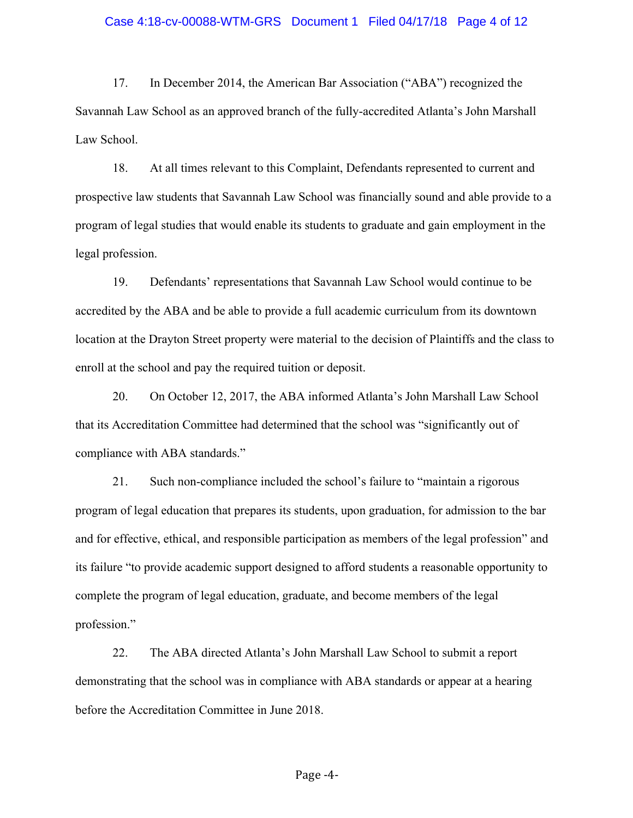#### Case 4:18-cv-00088-WTM-GRS Document 1 Filed 04/17/18 Page 4 of 12

17. In December 2014, the American Bar Association ("ABA") recognized the Savannah Law School as an approved branch of the fully-accredited Atlanta's John Marshall Law School.

18. At all times relevant to this Complaint, Defendants represented to current and prospective law students that Savannah Law School was financially sound and able provide to a program of legal studies that would enable its students to graduate and gain employment in the legal profession.

19. Defendants' representations that Savannah Law School would continue to be accredited by the ABA and be able to provide a full academic curriculum from its downtown location at the Drayton Street property were material to the decision of Plaintiffs and the class to enroll at the school and pay the required tuition or deposit.

20. On October 12, 2017, the ABA informed Atlanta's John Marshall Law School that its Accreditation Committee had determined that the school was "significantly out of compliance with ABA standards."

21. Such non-compliance included the school's failure to "maintain a rigorous program of legal education that prepares its students, upon graduation, for admission to the bar and for effective, ethical, and responsible participation as members of the legal profession" and its failure "to provide academic support designed to afford students a reasonable opportunity to complete the program of legal education, graduate, and become members of the legal profession."

22. The ABA directed Atlanta's John Marshall Law School to submit a report demonstrating that the school was in compliance with ABA standards or appear at a hearing before the Accreditation Committee in June 2018.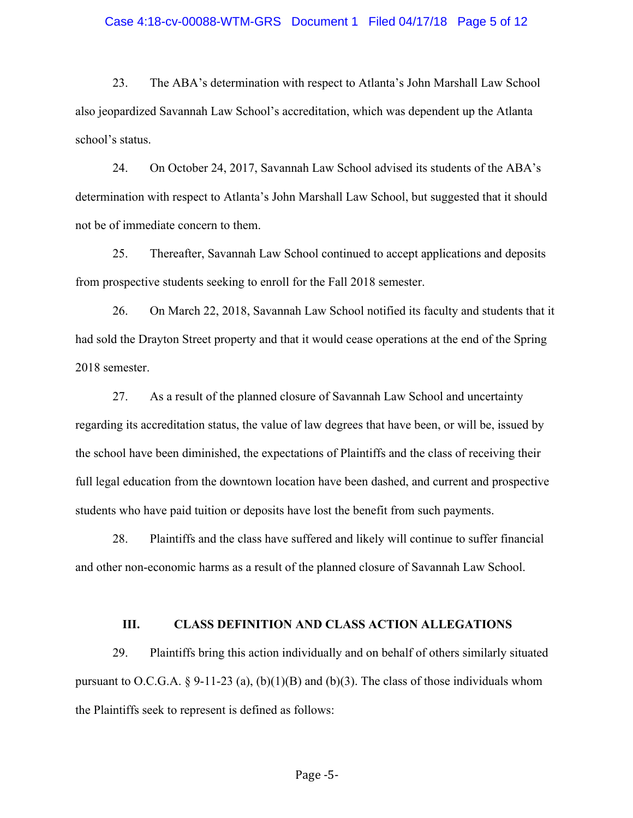#### Case 4:18-cv-00088-WTM-GRS Document 1 Filed 04/17/18 Page 5 of 12

23. The ABA's determination with respect to Atlanta's John Marshall Law School also jeopardized Savannah Law School's accreditation, which was dependent up the Atlanta school's status.

24. On October 24, 2017, Savannah Law School advised its students of the ABA's determination with respect to Atlanta's John Marshall Law School, but suggested that it should not be of immediate concern to them.

25. Thereafter, Savannah Law School continued to accept applications and deposits from prospective students seeking to enroll for the Fall 2018 semester.

26. On March 22, 2018, Savannah Law School notified its faculty and students that it had sold the Drayton Street property and that it would cease operations at the end of the Spring 2018 semester.

27. As a result of the planned closure of Savannah Law School and uncertainty regarding its accreditation status, the value of law degrees that have been, or will be, issued by the school have been diminished, the expectations of Plaintiffs and the class of receiving their full legal education from the downtown location have been dashed, and current and prospective students who have paid tuition or deposits have lost the benefit from such payments.

28. Plaintiffs and the class have suffered and likely will continue to suffer financial and other non-economic harms as a result of the planned closure of Savannah Law School.

#### **III. CLASS DEFINITION AND CLASS ACTION ALLEGATIONS**

29. Plaintiffs bring this action individually and on behalf of others similarly situated pursuant to O.C.G.A. § 9-11-23 (a), (b)(1)(B) and (b)(3). The class of those individuals whom the Plaintiffs seek to represent is defined as follows: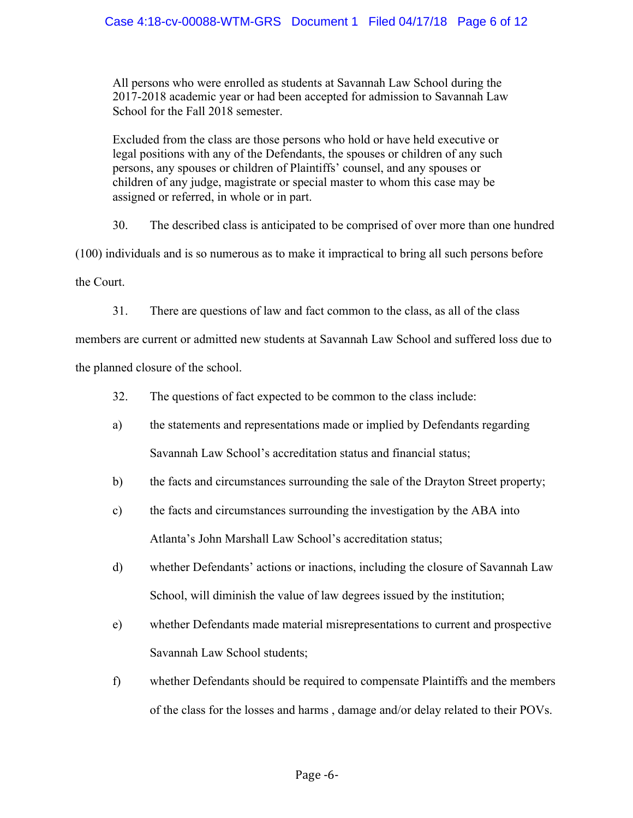All persons who were enrolled as students at Savannah Law School during the 2017-2018 academic year or had been accepted for admission to Savannah Law School for the Fall 2018 semester.

Excluded from the class are those persons who hold or have held executive or legal positions with any of the Defendants, the spouses or children of any such persons, any spouses or children of Plaintiffs' counsel, and any spouses or children of any judge, magistrate or special master to whom this case may be assigned or referred, in whole or in part.

30. The described class is anticipated to be comprised of over more than one hundred

(100) individuals and is so numerous as to make it impractical to bring all such persons before

the Court.

31. There are questions of law and fact common to the class, as all of the class

members are current or admitted new students at Savannah Law School and suffered loss due to the planned closure of the school.

- 32. The questions of fact expected to be common to the class include:
- a) the statements and representations made or implied by Defendants regarding Savannah Law School's accreditation status and financial status;
- b) the facts and circumstances surrounding the sale of the Drayton Street property;
- c) the facts and circumstances surrounding the investigation by the ABA into Atlanta's John Marshall Law School's accreditation status;
- d) whether Defendants' actions or inactions, including the closure of Savannah Law School, will diminish the value of law degrees issued by the institution;
- e) whether Defendants made material misrepresentations to current and prospective Savannah Law School students;
- f) whether Defendants should be required to compensate Plaintiffs and the members of the class for the losses and harms , damage and/or delay related to their POVs.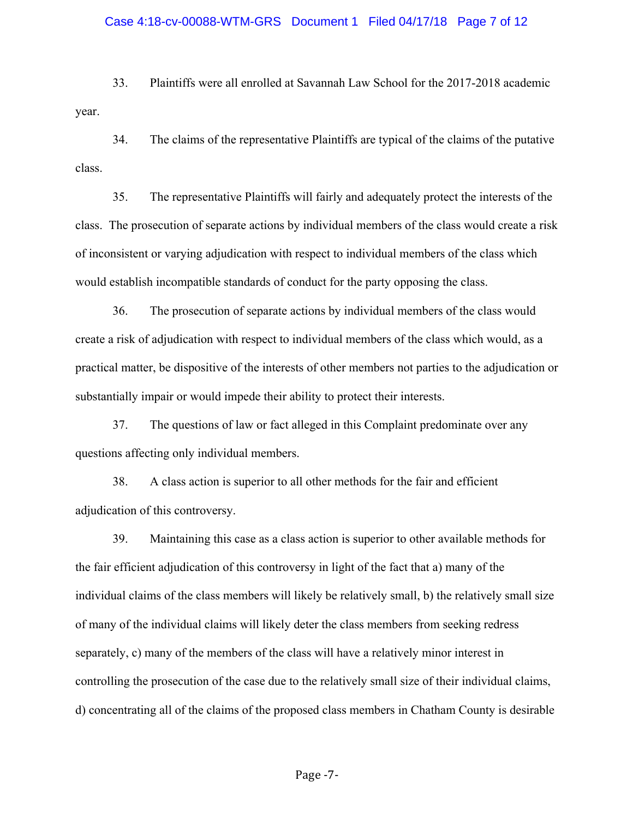# Case 4:18-cv-00088-WTM-GRS Document 1 Filed 04/17/18 Page 7 of 12

33. Plaintiffs were all enrolled at Savannah Law School for the 2017-2018 academic year.

34. The claims of the representative Plaintiffs are typical of the claims of the putative class.

35. The representative Plaintiffs will fairly and adequately protect the interests of the class. The prosecution of separate actions by individual members of the class would create a risk of inconsistent or varying adjudication with respect to individual members of the class which would establish incompatible standards of conduct for the party opposing the class.

36. The prosecution of separate actions by individual members of the class would create a risk of adjudication with respect to individual members of the class which would, as a practical matter, be dispositive of the interests of other members not parties to the adjudication or substantially impair or would impede their ability to protect their interests.

37. The questions of law or fact alleged in this Complaint predominate over any questions affecting only individual members.

38. A class action is superior to all other methods for the fair and efficient adjudication of this controversy.

39. Maintaining this case as a class action is superior to other available methods for the fair efficient adjudication of this controversy in light of the fact that a) many of the individual claims of the class members will likely be relatively small, b) the relatively small size of many of the individual claims will likely deter the class members from seeking redress separately, c) many of the members of the class will have a relatively minor interest in controlling the prosecution of the case due to the relatively small size of their individual claims, d) concentrating all of the claims of the proposed class members in Chatham County is desirable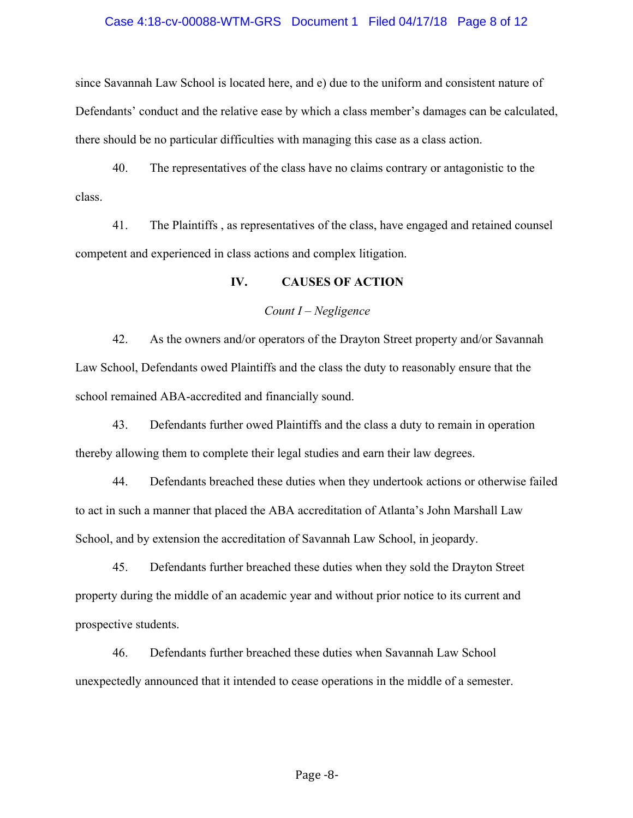#### Case 4:18-cv-00088-WTM-GRS Document 1 Filed 04/17/18 Page 8 of 12

since Savannah Law School is located here, and e) due to the uniform and consistent nature of Defendants' conduct and the relative ease by which a class member's damages can be calculated, there should be no particular difficulties with managing this case as a class action.

40. The representatives of the class have no claims contrary or antagonistic to the class.

41. The Plaintiffs , as representatives of the class, have engaged and retained counsel competent and experienced in class actions and complex litigation.

### **IV. CAUSES OF ACTION**

#### *Count I – Negligence*

42. As the owners and/or operators of the Drayton Street property and/or Savannah Law School, Defendants owed Plaintiffs and the class the duty to reasonably ensure that the school remained ABA-accredited and financially sound.

43. Defendants further owed Plaintiffs and the class a duty to remain in operation thereby allowing them to complete their legal studies and earn their law degrees.

44. Defendants breached these duties when they undertook actions or otherwise failed to act in such a manner that placed the ABA accreditation of Atlanta's John Marshall Law School, and by extension the accreditation of Savannah Law School, in jeopardy.

45. Defendants further breached these duties when they sold the Drayton Street property during the middle of an academic year and without prior notice to its current and prospective students.

46. Defendants further breached these duties when Savannah Law School unexpectedly announced that it intended to cease operations in the middle of a semester.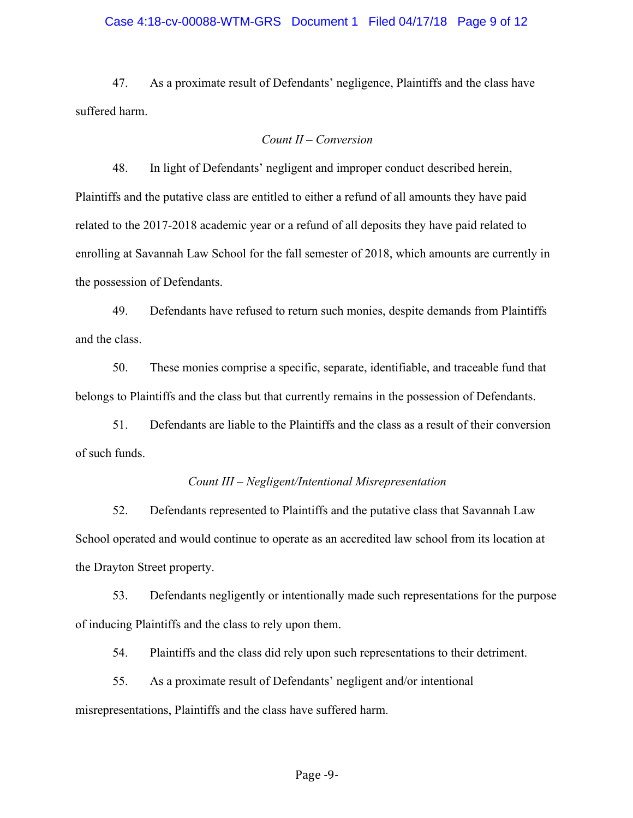#### Case 4:18-cv-00088-WTM-GRS Document 1 Filed 04/17/18 Page 9 of 12

47. As a proximate result of Defendants' negligence, Plaintiffs and the class have suffered harm.

#### *Count II – Conversion*

48. In light of Defendants' negligent and improper conduct described herein, Plaintiffs and the putative class are entitled to either a refund of all amounts they have paid related to the 2017-2018 academic year or a refund of all deposits they have paid related to enrolling at Savannah Law School for the fall semester of 2018, which amounts are currently in the possession of Defendants.

49. Defendants have refused to return such monies, despite demands from Plaintiffs and the class.

50. These monies comprise a specific, separate, identifiable, and traceable fund that belongs to Plaintiffs and the class but that currently remains in the possession of Defendants.

51. Defendants are liable to the Plaintiffs and the class as a result of their conversion of such funds.

#### *Count III – Negligent/Intentional Misrepresentation*

52. Defendants represented to Plaintiffs and the putative class that Savannah Law School operated and would continue to operate as an accredited law school from its location at the Drayton Street property.

53. Defendants negligently or intentionally made such representations for the purpose of inducing Plaintiffs and the class to rely upon them.

54. Plaintiffs and the class did rely upon such representations to their detriment.

55. As a proximate result of Defendants' negligent and/or intentional misrepresentations, Plaintiffs and the class have suffered harm.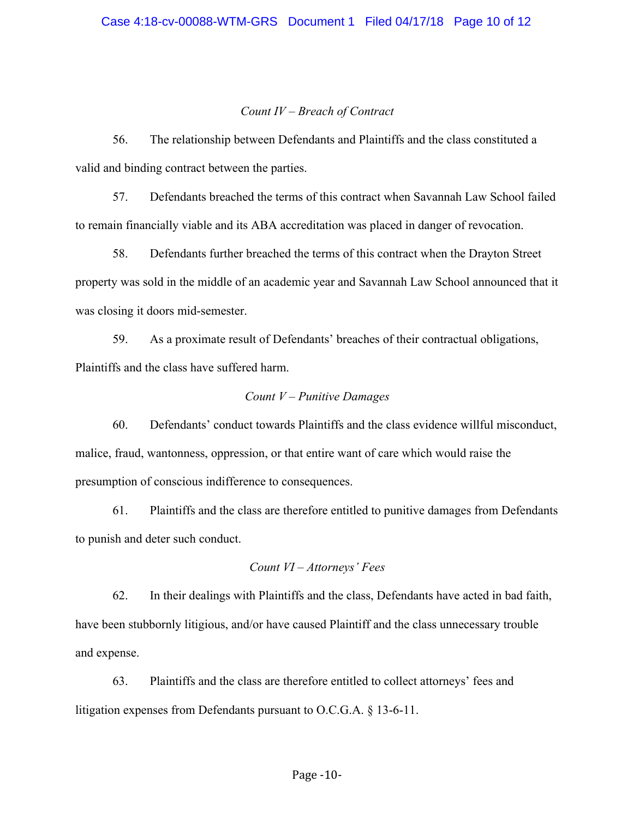## *Count IV – Breach of Contract*

56. The relationship between Defendants and Plaintiffs and the class constituted a valid and binding contract between the parties.

57. Defendants breached the terms of this contract when Savannah Law School failed to remain financially viable and its ABA accreditation was placed in danger of revocation.

58. Defendants further breached the terms of this contract when the Drayton Street property was sold in the middle of an academic year and Savannah Law School announced that it was closing it doors mid-semester.

59. As a proximate result of Defendants' breaches of their contractual obligations, Plaintiffs and the class have suffered harm.

## *Count V – Punitive Damages*

60. Defendants' conduct towards Plaintiffs and the class evidence willful misconduct, malice, fraud, wantonness, oppression, or that entire want of care which would raise the presumption of conscious indifference to consequences.

61. Plaintiffs and the class are therefore entitled to punitive damages from Defendants to punish and deter such conduct.

## *Count VI – Attorneys' Fees*

62. In their dealings with Plaintiffs and the class, Defendants have acted in bad faith, have been stubbornly litigious, and/or have caused Plaintiff and the class unnecessary trouble and expense.

63. Plaintiffs and the class are therefore entitled to collect attorneys' fees and litigation expenses from Defendants pursuant to O.C.G.A. § 13-6-11.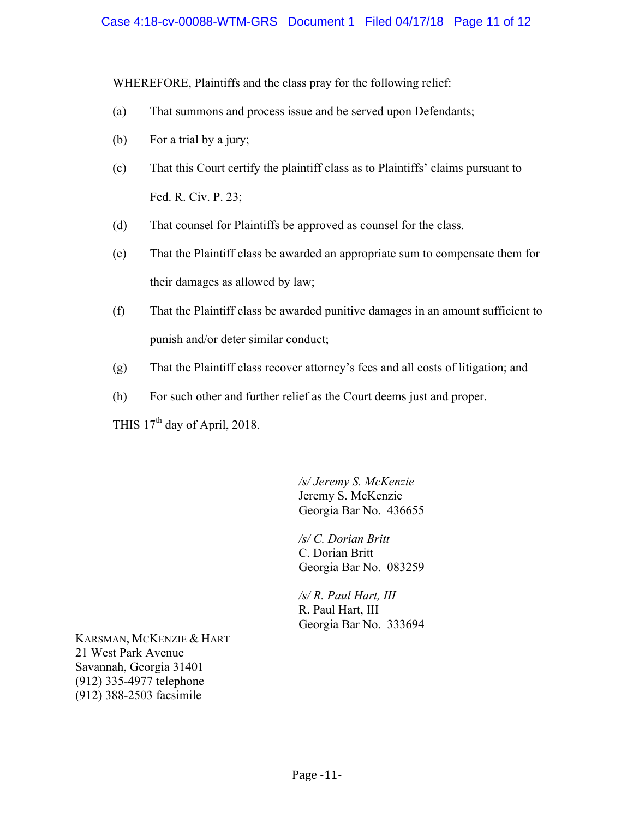WHEREFORE, Plaintiffs and the class pray for the following relief:

- (a) That summons and process issue and be served upon Defendants;
- (b) For a trial by a jury;
- (c) That this Court certify the plaintiff class as to Plaintiffs' claims pursuant to Fed. R. Civ. P. 23;
- (d) That counsel for Plaintiffs be approved as counsel for the class.
- (e) That the Plaintiff class be awarded an appropriate sum to compensate them for their damages as allowed by law;
- (f) That the Plaintiff class be awarded punitive damages in an amount sufficient to punish and/or deter similar conduct;
- (g) That the Plaintiff class recover attorney's fees and all costs of litigation; and
- (h) For such other and further relief as the Court deems just and proper.

THIS 17<sup>th</sup> day of April, 2018.

*/s/ Jeremy S. McKenzie*  Jeremy S. McKenzie Georgia Bar No. 436655

*/s/ C. Dorian Britt*  C. Dorian Britt Georgia Bar No. 083259

*/s/ R. Paul Hart, III*  R. Paul Hart, III Georgia Bar No. 333694

KARSMAN, MCKENZIE & HART 21 West Park Avenue Savannah, Georgia 31401 (912) 335-4977 telephone (912) 388-2503 facsimile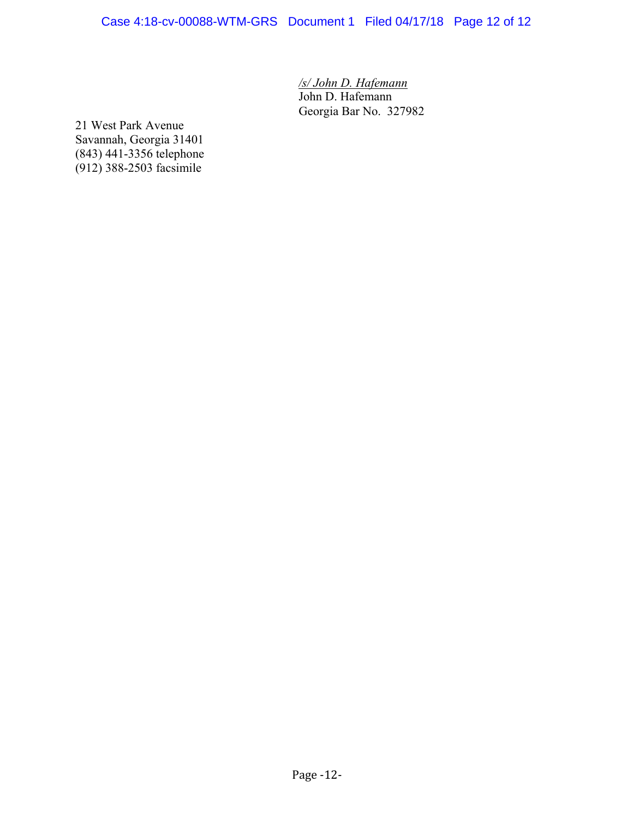Case 4:18-cv-00088-WTM-GRS Document 1 Filed 04/17/18 Page 12 of 12

*/s/ John D. Hafemann* John D. Hafemann Georgia Bar No. 327982

21 West Park Avenue Savannah, Georgia 31401 (843) 441-3356 telephone (912) 388-2503 facsimile